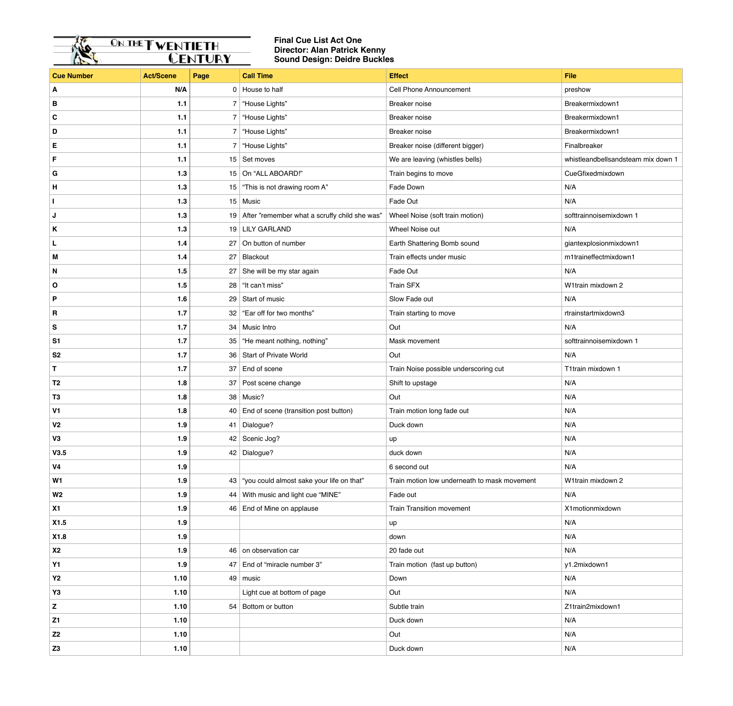

## **Final Cue List Act One Director: Alan Patrick Kenny Sound Design: Deidre Buckles**

| <b>Cue Number</b> | <b>Act/Scene</b> | Page | <b>Call Time</b>                                 | <b>Effect</b>                                | <b>File</b>                        |
|-------------------|------------------|------|--------------------------------------------------|----------------------------------------------|------------------------------------|
| A                 | N/A              |      | $0$ House to half                                | <b>Cell Phone Announcement</b>               | preshow                            |
| B                 | 1.1              |      | 7 House Lights"                                  | Breaker noise                                | Breakermixdown1                    |
| $\mathbf c$       | 1.1              |      | 7 House Lights"                                  | Breaker noise                                | Breakermixdown1                    |
| D                 | 1.1              |      | 7 House Lights"                                  | Breaker noise                                | Breakermixdown1                    |
| E                 | 1.1              |      | 7 House Lights"                                  | Breaker noise (different bigger)             | Finalbreaker                       |
| F                 | $1.1$            |      | 15 Set moves                                     | We are leaving (whistles bells)              | whistleandbellsandsteam mix down 1 |
| G                 | $1.3$            |      | 15 On "ALL ABOARD!"                              | Train begins to move                         | CueGfixedmixdown                   |
| н                 | 1.3              |      | 15   "This is not drawing room A"                | Fade Down                                    | N/A                                |
|                   | $1.3$            |      | 15 Music                                         | Fade Out                                     | N/A                                |
| J                 | $1.3$            |      | 19 After "remember what a scruffy child she was" | Wheel Noise (soft train motion)              | softtrainnoisemixdown 1            |
| Κ                 | $1.3$            |      | 19 LILY GARLAND                                  | Wheel Noise out                              | N/A                                |
| L                 | $1.4$            |      | 27 On button of number                           | Earth Shattering Bomb sound                  | giantexplosionmixdown1             |
| M                 | $1.4$            | 27   | Blackout                                         | Train effects under music                    | m1traineffectmixdown1              |
| N                 | 1.5              |      | 27 She will be my star again                     | Fade Out                                     | N/A                                |
| $\mathbf{o}$      | $1.5$            |      | 28 ft can't miss"                                | <b>Train SFX</b>                             | W1train mixdown 2                  |
| P                 | 1.6              |      | 29 Start of music                                | Slow Fade out                                | N/A                                |
| R                 | $1.7$            |      | 32   "Ear off for two months"                    | Train starting to move                       | rtrainstartmixdown3                |
| S                 | 1.7              |      | 34 Music Intro                                   | Out                                          | N/A                                |
| S <sub>1</sub>    | $1.7$            |      | 35   "He meant nothing, nothing"                 | Mask movement                                | softtrainnoisemixdown 1            |
| S <sub>2</sub>    | $1.7$            |      | 36   Start of Private World                      | Out                                          | N/A                                |
| T                 | $1.7$            |      | 37 End of scene                                  | Train Noise possible underscoring cut        | T1train mixdown 1                  |
| T <sub>2</sub>    | 1.8              |      | 37 Post scene change                             | Shift to upstage                             | N/A                                |
| T <sub>3</sub>    | 1.8              |      | 38 Music?                                        | Out                                          | N/A                                |
| V <sub>1</sub>    | 1.8              |      | 40 End of scene (transition post button)         | Train motion long fade out                   | N/A                                |
| V <sub>2</sub>    | 1.9              |      | 41 Dialogue?                                     | Duck down                                    | N/A                                |
| V3                | 1.9              |      | 42 Scenic Jog?                                   | up                                           | N/A                                |
| V3.5              | 1.9              |      | 42 Dialogue?                                     | duck down                                    | N/A                                |
| V <sub>4</sub>    | 1.9              |      |                                                  | 6 second out                                 | N/A                                |
| W <sub>1</sub>    | 1.9              |      | 43 "you could almost sake your life on that"     | Train motion low underneath to mask movement | W1train mixdown 2                  |
| W <sub>2</sub>    | 1.9              |      | 44 With music and light cue "MINE"               | Fade out                                     | N/A                                |
| X1                | 1.9              |      | 46 End of Mine on applause                       | <b>Train Transition movement</b>             | X1motionmixdown                    |
| X1.5              | 1.9              |      |                                                  | up                                           | N/A                                |
| X1.8              | 1.9              |      |                                                  | down                                         | N/A                                |
| <b>X2</b>         | 1.9              |      | 46 on observation car                            | 20 fade out                                  | N/A                                |
| <b>Y1</b>         | 1.9              |      | 47 End of "miracle number 3"                     | Train motion (fast up button)                | y1.2mixdown1                       |
| <b>Y2</b>         | 1.10             | 49   | music                                            | Down                                         | N/A                                |
| Y3                | 1.10             |      | Light cue at bottom of page                      | Out                                          | N/A                                |
| Z                 | 1.10             |      | 54 Bottom or button                              | Subtle train                                 | Z1train2mixdown1                   |
| Z <sub>1</sub>    | 1.10             |      |                                                  | Duck down                                    | N/A                                |
| <b>Z2</b>         | 1.10             |      |                                                  | Out                                          | N/A                                |
| Z <sub>3</sub>    | 1.10             |      |                                                  | Duck down                                    | N/A                                |